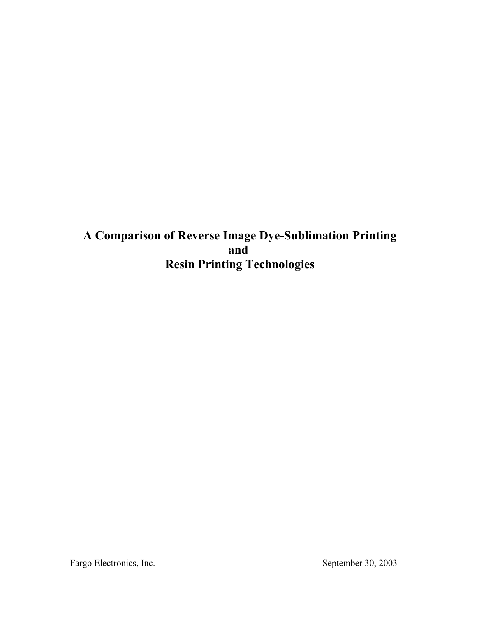**A Comparison of Reverse Image Dye-Sublimation Printing and Resin Printing Technologies**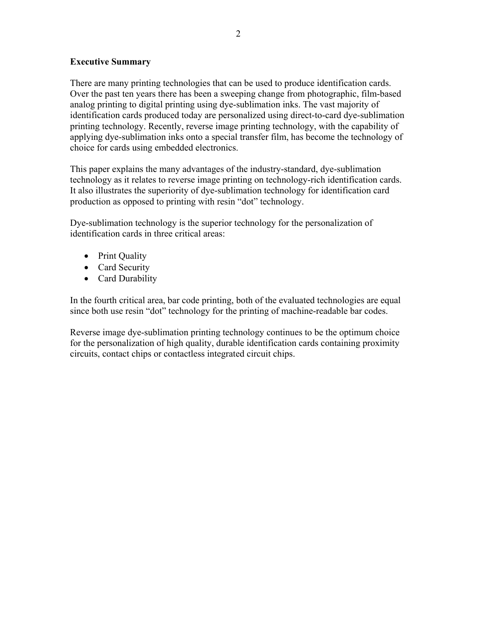#### **Executive Summary**

There are many printing technologies that can be used to produce identification cards. Over the past ten years there has been a sweeping change from photographic, film-based analog printing to digital printing using dye-sublimation inks. The vast majority of identification cards produced today are personalized using direct-to-card dye-sublimation printing technology. Recently, reverse image printing technology, with the capability of applying dye-sublimation inks onto a special transfer film, has become the technology of choice for cards using embedded electronics.

This paper explains the many advantages of the industry-standard, dye-sublimation technology as it relates to reverse image printing on technology-rich identification cards. It also illustrates the superiority of dye-sublimation technology for identification card production as opposed to printing with resin "dot" technology.

Dye-sublimation technology is the superior technology for the personalization of identification cards in three critical areas:

- Print Quality
- Card Security
- Card Durability

In the fourth critical area, bar code printing, both of the evaluated technologies are equal since both use resin "dot" technology for the printing of machine-readable bar codes.

Reverse image dye-sublimation printing technology continues to be the optimum choice for the personalization of high quality, durable identification cards containing proximity circuits, contact chips or contactless integrated circuit chips.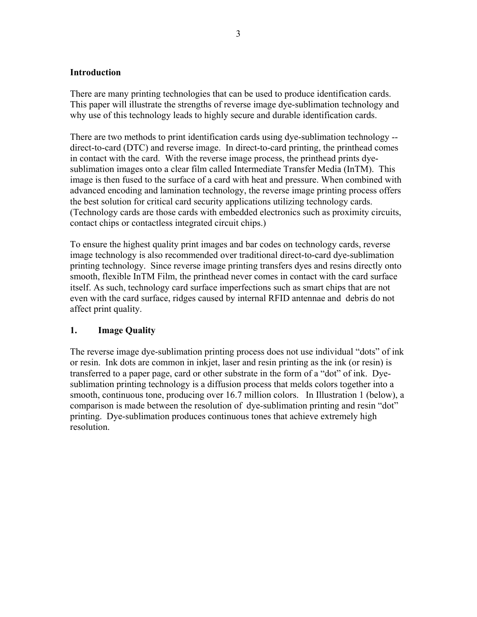#### **Introduction**

There are many printing technologies that can be used to produce identification cards. This paper will illustrate the strengths of reverse image dye-sublimation technology and why use of this technology leads to highly secure and durable identification cards.

There are two methods to print identification cards using dye-sublimation technology - direct-to-card (DTC) and reverse image. In direct-to-card printing, the printhead comes in contact with the card. With the reverse image process, the printhead prints dyesublimation images onto a clear film called Intermediate Transfer Media (InTM). This image is then fused to the surface of a card with heat and pressure. When combined with advanced encoding and lamination technology, the reverse image printing process offers the best solution for critical card security applications utilizing technology cards. (Technology cards are those cards with embedded electronics such as proximity circuits, contact chips or contactless integrated circuit chips.)

To ensure the highest quality print images and bar codes on technology cards, reverse image technology is also recommended over traditional direct-to-card dye-sublimation printing technology. Since reverse image printing transfers dyes and resins directly onto smooth, flexible InTM Film, the printhead never comes in contact with the card surface itself. As such, technology card surface imperfections such as smart chips that are not even with the card surface, ridges caused by internal RFID antennae and debris do not affect print quality.

## **1. Image Quality**

The reverse image dye-sublimation printing process does not use individual "dots" of ink or resin. Ink dots are common in inkjet, laser and resin printing as the ink (or resin) is transferred to a paper page, card or other substrate in the form of a "dot" of ink. Dyesublimation printing technology is a diffusion process that melds colors together into a smooth, continuous tone, producing over 16.7 million colors. In Illustration 1 (below), a comparison is made between the resolution of dye-sublimation printing and resin "dot" printing. Dye-sublimation produces continuous tones that achieve extremely high resolution.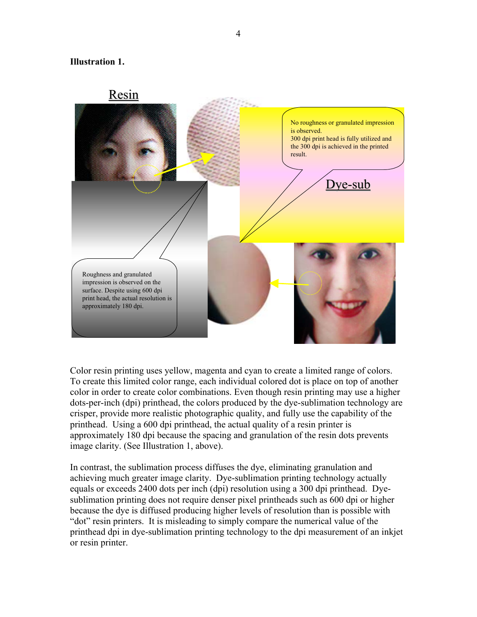#### **Illustration 1.**



Color resin printing uses yellow, magenta and cyan to create a limited range of colors. To create this limited color range, each individual colored dot is place on top of another color in order to create color combinations. Even though resin printing may use a higher dots-per-inch (dpi) printhead, the colors produced by the dye-sublimation technology are crisper, provide more realistic photographic quality, and fully use the capability of the printhead. Using a 600 dpi printhead, the actual quality of a resin printer is approximately 180 dpi because the spacing and granulation of the resin dots prevents image clarity. (See Illustration 1, above).

In contrast, the sublimation process diffuses the dye, eliminating granulation and achieving much greater image clarity. Dye-sublimation printing technology actually equals or exceeds 2400 dots per inch (dpi) resolution using a 300 dpi printhead. Dyesublimation printing does not require denser pixel printheads such as 600 dpi or higher because the dye is diffused producing higher levels of resolution than is possible with "dot" resin printers. It is misleading to simply compare the numerical value of the printhead dpi in dye-sublimation printing technology to the dpi measurement of an inkjet or resin printer.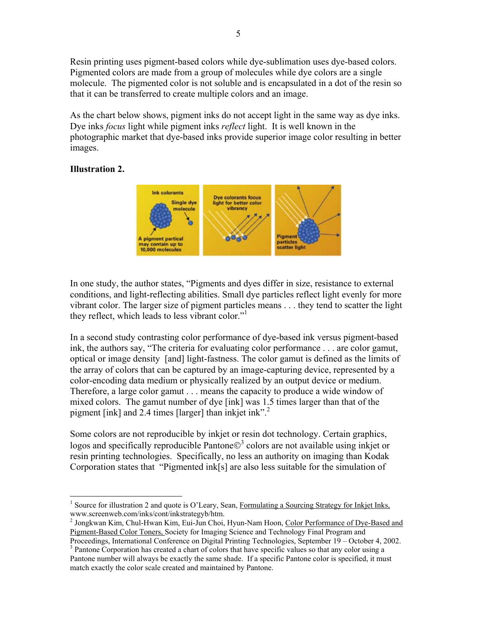Resin printing uses pigment-based colors while dye-sublimation uses dye-based colors. Pigmented colors are made from a group of molecules while dye colors are a single molecule. The pigmented color is not soluble and is encapsulated in a dot of the resin so that it can be transferred to create multiple colors and an image.

As the chart below shows, pigment inks do not accept light in the same way as dye inks. Dye inks *focus* light while pigment inks *reflect* light. It is well known in the photographic market that dye-based inks provide superior image color resulting in better images.

## **Illustration 2.**



In one study, the author states, "Pigments and dyes differ in size, resistance to external conditions, and light-reflecting abilities. Small dye particles reflect light evenly for more vibrant color. The larger size of pigment particles means . . . they tend to scatter the light they reflect, which leads to less vibrant color."

In a second study contrasting color performance of dye-based ink versus pigment-based ink, the authors say, "The criteria for evaluating color performance . . . are color gamut, optical or image density [and] light-fastness. The color gamut is defined as the limits of the array of colors that can be captured by an image-capturing device, represented by a color-encoding data medium or physically realized by an output device or medium. Therefore, a large color gamut . . . means the capacity to produce a wide window of mixed colors. The gamut number of dye [ink] was 1.5 times larger than that of the pigment [ink] and 2.4 times [larger] than inkjet ink".<sup>2</sup>

Some colors are not reproducible by inkjet or resin dot technology. Certain graphics, logos and specifically reproducible Pantone $\mathbb{O}^3$  colors are not available using inkjet or resin printing technologies. Specifically, no less an authority on imaging than Kodak Corporation states that "Pigmented ink[s] are also less suitable for the simulation of

<sup>&</sup>lt;u>.</u> <sup>1</sup> Source for illustration 2 and quote is O'Leary, Sean, Formulating a Sourcing Strategy for Inkjet Inks,

www.screenweb.com/inks/cont/inkstrategyb/htm.<br><sup>2</sup> Jongkwan Kim, Chul-Hwan Kim, Eui-Jun Choi, Hyun-Nam Hoon, <u>Color Performance of Dye-Based and</u> Pigment-Based Color Toners, Society for Imaging Science and Technology Final Program and

Proceedings, International Conference on Digital Printing Technologies, September 19 – October 4, 2002. 3 <sup>3</sup> Pantone Corporation has created a chart of colors that have specific values so that any color using a Pantone number will always be exactly the same shade. If a specific Pantone color is specified, it must match exactly the color scale created and maintained by Pantone.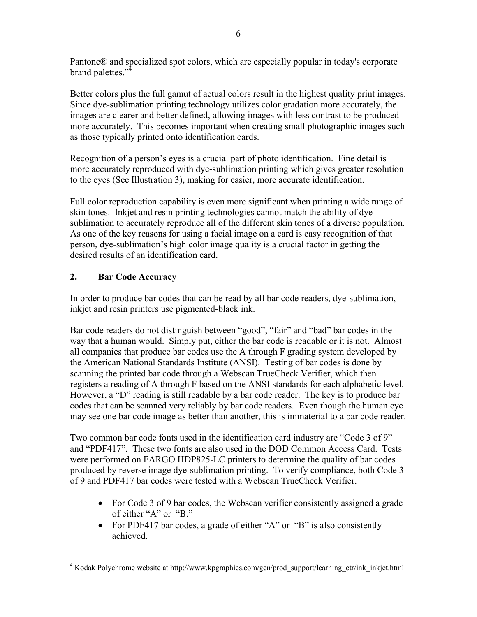Pantone® and specialized spot colors, which are especially popular in today's corporate brand palettes."<sup>4</sup>

Better colors plus the full gamut of actual colors result in the highest quality print images. Since dye-sublimation printing technology utilizes color gradation more accurately, the images are clearer and better defined, allowing images with less contrast to be produced more accurately. This becomes important when creating small photographic images such as those typically printed onto identification cards.

Recognition of a person's eyes is a crucial part of photo identification. Fine detail is more accurately reproduced with dye-sublimation printing which gives greater resolution to the eyes (See Illustration 3), making for easier, more accurate identification.

Full color reproduction capability is even more significant when printing a wide range of skin tones. Inkjet and resin printing technologies cannot match the ability of dyesublimation to accurately reproduce all of the different skin tones of a diverse population. As one of the key reasons for using a facial image on a card is easy recognition of that person, dye-sublimation's high color image quality is a crucial factor in getting the desired results of an identification card.

# **2. Bar Code Accuracy**

In order to produce bar codes that can be read by all bar code readers, dye-sublimation, inkjet and resin printers use pigmented-black ink.

Bar code readers do not distinguish between "good", "fair" and "bad" bar codes in the way that a human would. Simply put, either the bar code is readable or it is not. Almost all companies that produce bar codes use the A through F grading system developed by the American National Standards Institute (ANSI). Testing of bar codes is done by scanning the printed bar code through a Webscan TrueCheck Verifier, which then registers a reading of A through F based on the ANSI standards for each alphabetic level. However, a "D" reading is still readable by a bar code reader. The key is to produce bar codes that can be scanned very reliably by bar code readers. Even though the human eye may see one bar code image as better than another, this is immaterial to a bar code reader.

Two common bar code fonts used in the identification card industry are "Code 3 of 9" and "PDF417". These two fonts are also used in the DOD Common Access Card. Tests were performed on FARGO HDP825-LC printers to determine the quality of bar codes produced by reverse image dye-sublimation printing. To verify compliance, both Code 3 of 9 and PDF417 bar codes were tested with a Webscan TrueCheck Verifier.

- For Code 3 of 9 bar codes, the Webscan verifier consistently assigned a grade of either "A" or "B."
- For PDF417 bar codes, a grade of either "A" or "B" is also consistently achieved.

 $\overline{a}$ <sup>4</sup> Kodak Polychrome website at http://www.kpgraphics.com/gen/prod\_support/learning\_ctr/ink\_inkjet.html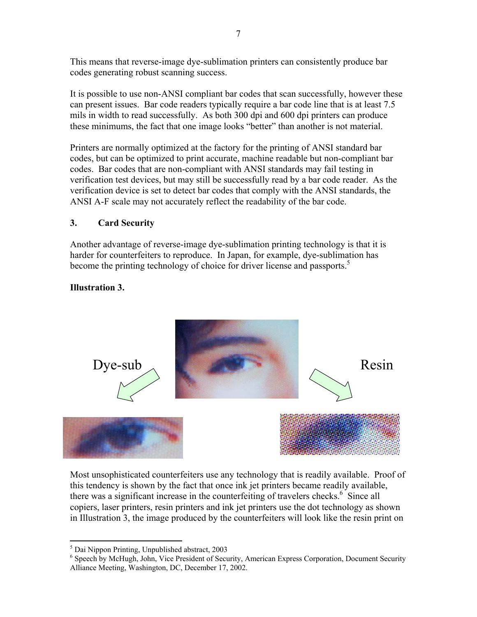This means that reverse-image dye-sublimation printers can consistently produce bar codes generating robust scanning success.

It is possible to use non-ANSI compliant bar codes that scan successfully, however these can present issues. Bar code readers typically require a bar code line that is at least 7.5 mils in width to read successfully. As both 300 dpi and 600 dpi printers can produce these minimums, the fact that one image looks "better" than another is not material.

Printers are normally optimized at the factory for the printing of ANSI standard bar codes, but can be optimized to print accurate, machine readable but non-compliant bar codes. Bar codes that are non-compliant with ANSI standards may fail testing in verification test devices, but may still be successfully read by a bar code reader. As the verification device is set to detect bar codes that comply with the ANSI standards, the ANSI A-F scale may not accurately reflect the readability of the bar code.

# **3. Card Security**

Another advantage of reverse-image dye-sublimation printing technology is that it is harder for counterfeiters to reproduce. In Japan, for example, dye-sublimation has become the printing technology of choice for driver license and passports.<sup>5</sup>

# **Illustration 3.**



Most unsophisticated counterfeiters use any technology that is readily available. Proof of this tendency is shown by the fact that once ink jet printers became readily available, there was a significant increase in the counterfeiting of travelers checks.<sup>6</sup> Since all copiers, laser printers, resin printers and ink jet printers use the dot technology as shown in Illustration 3, the image produced by the counterfeiters will look like the resin print on

 5 Dai Nippon Printing, Unpublished abstract, 2003

<sup>&</sup>lt;sup>6</sup> Speech by McHugh, John, Vice President of Security, American Express Corporation, Document Security Alliance Meeting, Washington, DC, December 17, 2002.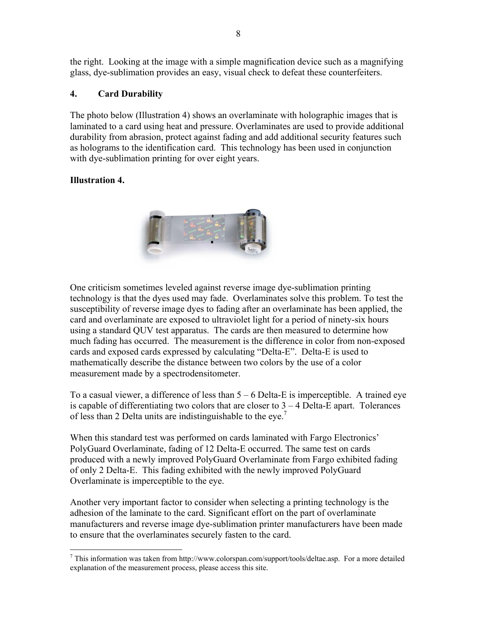the right. Looking at the image with a simple magnification device such as a magnifying glass, dye-sublimation provides an easy, visual check to defeat these counterfeiters.

## **4. Card Durability**

The photo below (Illustration 4) shows an overlaminate with holographic images that is laminated to a card using heat and pressure. Overlaminates are used to provide additional durability from abrasion, protect against fading and add additional security features such as holograms to the identification card. This technology has been used in conjunction with dye-sublimation printing for over eight years.

# **Illustration 4.**

 $\overline{a}$ 



One criticism sometimes leveled against reverse image dye-sublimation printing technology is that the dyes used may fade. Overlaminates solve this problem. To test the susceptibility of reverse image dyes to fading after an overlaminate has been applied, the card and overlaminate are exposed to ultraviolet light for a period of ninety-six hours using a standard QUV test apparatus. The cards are then measured to determine how much fading has occurred. The measurement is the difference in color from non-exposed cards and exposed cards expressed by calculating "Delta-E". Delta-E is used to mathematically describe the distance between two colors by the use of a color measurement made by a spectrodensitometer.

To a casual viewer, a difference of less than 5 – 6 Delta-E is imperceptible. A trained eye is capable of differentiating two colors that are closer to  $3 - 4$  Delta-E apart. Tolerances of less than 2 Delta units are indistinguishable to the eye.7

When this standard test was performed on cards laminated with Fargo Electronics' PolyGuard Overlaminate, fading of 12 Delta-E occurred. The same test on cards produced with a newly improved PolyGuard Overlaminate from Fargo exhibited fading of only 2 Delta-E. This fading exhibited with the newly improved PolyGuard Overlaminate is imperceptible to the eye.

Another very important factor to consider when selecting a printing technology is the adhesion of the laminate to the card. Significant effort on the part of overlaminate manufacturers and reverse image dye-sublimation printer manufacturers have been made to ensure that the overlaminates securely fasten to the card.

 $<sup>7</sup>$  This information was taken from http://www.colorspan.com/support/tools/deltae.asp. For a more detailed</sup> explanation of the measurement process, please access this site.